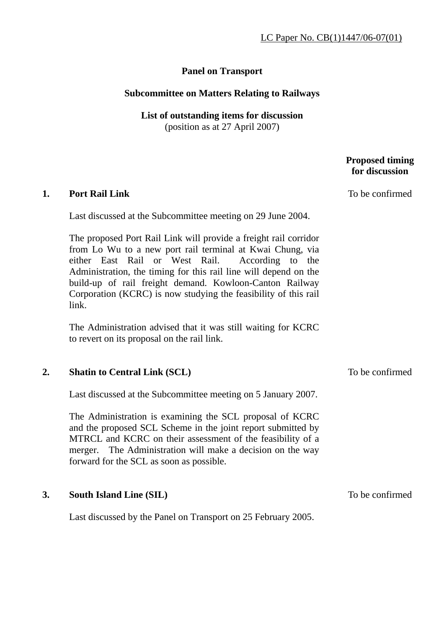## **Panel on Transport**

## **Subcommittee on Matters Relating to Railways**

## **List of outstanding items for discussion**  (position as at 27 April 2007)

## **Proposed timing for discussion 1. Port Rail Link**  Last discussed at the Subcommittee meeting on 29 June 2004. The proposed Port Rail Link will provide a freight rail corridor from Lo Wu to a new port rail terminal at Kwai Chung, via either East Rail or West Rail. According to the Administration, the timing for this rail line will depend on the build-up of rail freight demand. Kowloon-Canton Railway Corporation (KCRC) is now studying the feasibility of this rail link. The Administration advised that it was still waiting for KCRC to revert on its proposal on the rail link. To be confirmed **2. Shatin to Central Link (SCL)** Last discussed at the Subcommittee meeting on 5 January 2007. The Administration is examining the SCL proposal of KCRC and the proposed SCL Scheme in the joint report submitted by MTRCL and KCRC on their assessment of the feasibility of a merger. The Administration will make a decision on the way forward for the SCL as soon as possible. To be confirmed **3. South Island Line (SIL)**  Last discussed by the Panel on Transport on 25 February 2005. To be confirmed